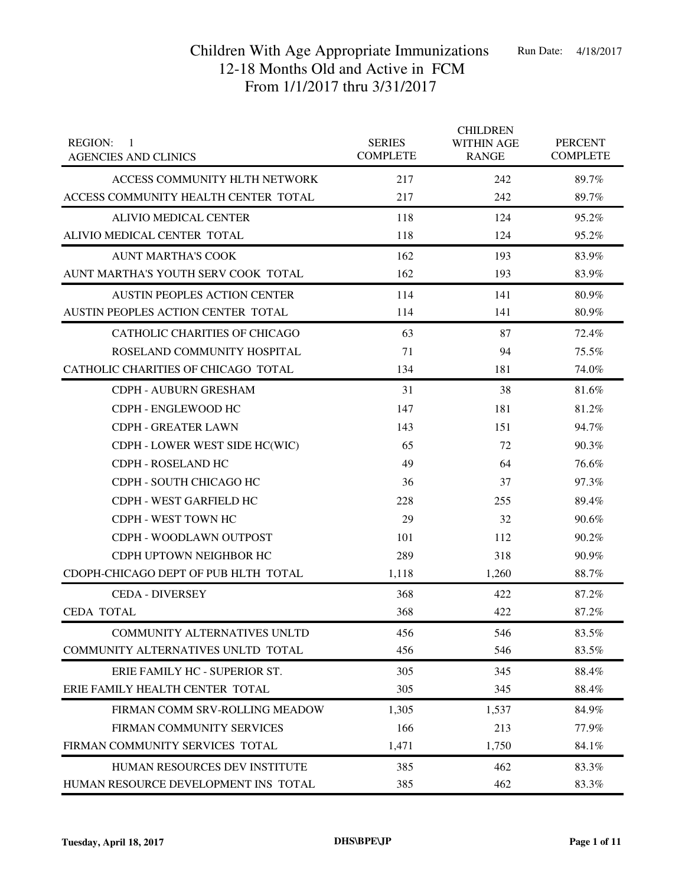| <b>REGION:</b><br>-1<br><b>AGENCIES AND CLINICS</b> | <b>SERIES</b><br><b>COMPLETE</b> | <b>CHILDREN</b><br><b>WITHIN AGE</b><br><b>RANGE</b> | <b>PERCENT</b><br><b>COMPLETE</b> |
|-----------------------------------------------------|----------------------------------|------------------------------------------------------|-----------------------------------|
| ACCESS COMMUNITY HLTH NETWORK                       | 217                              | 242                                                  | 89.7%                             |
| ACCESS COMMUNITY HEALTH CENTER TOTAL                | 217                              | 242                                                  | 89.7%                             |
| ALIVIO MEDICAL CENTER                               | 118                              | 124                                                  | 95.2%                             |
| ALIVIO MEDICAL CENTER TOTAL                         | 118                              | 124                                                  | 95.2%                             |
| <b>AUNT MARTHA'S COOK</b>                           | 162                              | 193                                                  | 83.9%                             |
| AUNT MARTHA'S YOUTH SERV COOK TOTAL                 | 162                              | 193                                                  | 83.9%                             |
| AUSTIN PEOPLES ACTION CENTER                        | 114                              | 141                                                  | 80.9%                             |
| AUSTIN PEOPLES ACTION CENTER TOTAL                  | 114                              | 141                                                  | 80.9%                             |
| <b>CATHOLIC CHARITIES OF CHICAGO</b>                | 63                               | 87                                                   | 72.4%                             |
| ROSELAND COMMUNITY HOSPITAL                         | 71                               | 94                                                   | 75.5%                             |
| CATHOLIC CHARITIES OF CHICAGO TOTAL                 | 134                              | 181                                                  | 74.0%                             |
| CDPH - AUBURN GRESHAM                               | 31                               | 38                                                   | 81.6%                             |
| CDPH - ENGLEWOOD HC                                 | 147                              | 181                                                  | 81.2%                             |
| <b>CDPH - GREATER LAWN</b>                          | 143                              | 151                                                  | 94.7%                             |
| CDPH - LOWER WEST SIDE HC(WIC)                      | 65                               | 72                                                   | 90.3%                             |
| <b>CDPH - ROSELAND HC</b>                           | 49                               | 64                                                   | 76.6%                             |
| CDPH - SOUTH CHICAGO HC                             | 36                               | 37                                                   | 97.3%                             |
| CDPH - WEST GARFIELD HC                             | 228                              | 255                                                  | 89.4%                             |
| CDPH - WEST TOWN HC                                 | 29                               | 32                                                   | 90.6%                             |
| CDPH - WOODLAWN OUTPOST                             | 101                              | 112                                                  | 90.2%                             |
| CDPH UPTOWN NEIGHBOR HC                             | 289                              | 318                                                  | 90.9%                             |
| CDOPH-CHICAGO DEPT OF PUB HLTH TOTAL                | 1,118                            | 1,260                                                | 88.7%                             |
| <b>CEDA - DIVERSEY</b>                              | 368                              | 422                                                  | 87.2%                             |
| <b>CEDA TOTAL</b>                                   | 368                              | 422                                                  | 87.2%                             |
| COMMUNITY ALTERNATIVES UNLTD                        | 456                              | 546                                                  | 83.5%                             |
| COMMUNITY ALTERNATIVES UNLTD TOTAL                  | 456                              | 546                                                  | 83.5%                             |
| ERIE FAMILY HC - SUPERIOR ST.                       | 305                              | 345                                                  | 88.4%                             |
| ERIE FAMILY HEALTH CENTER TOTAL                     | 305                              | 345                                                  | 88.4%                             |
| FIRMAN COMM SRV-ROLLING MEADOW                      | 1,305                            | 1,537                                                | 84.9%                             |
| FIRMAN COMMUNITY SERVICES                           | 166                              | 213                                                  | 77.9%                             |
| FIRMAN COMMUNITY SERVICES TOTAL                     | 1,471                            | 1,750                                                | 84.1%                             |
| HUMAN RESOURCES DEV INSTITUTE                       | 385                              | 462                                                  | 83.3%                             |
| HUMAN RESOURCE DEVELOPMENT INS TOTAL                | 385                              | 462                                                  | 83.3%                             |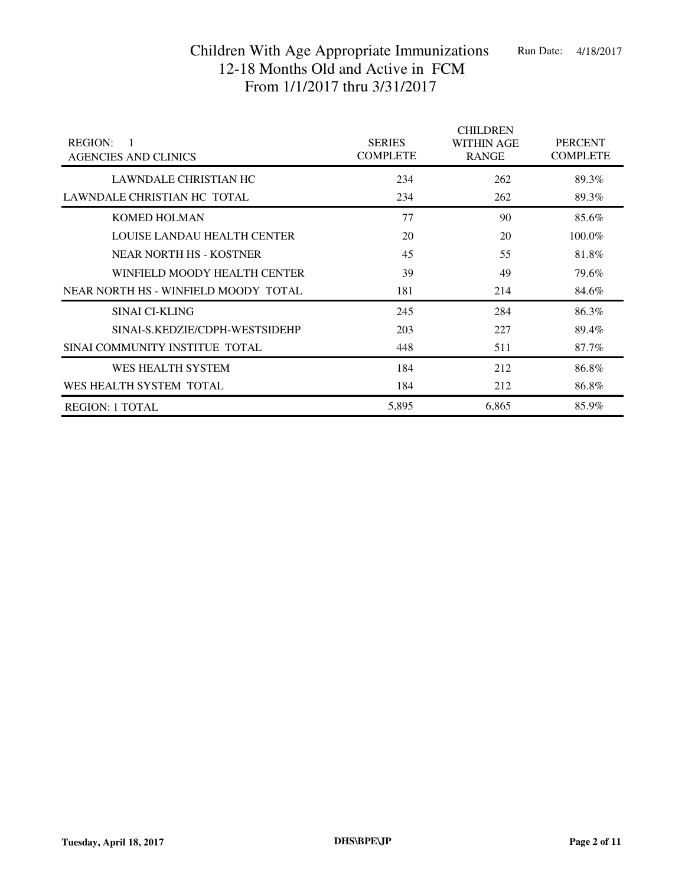| <b>REGION:</b><br>$\mathbf{1}$<br><b>AGENCIES AND CLINICS</b> | <b>SERIES</b><br><b>COMPLETE</b> | <b>CHILDREN</b><br><b>WITHIN AGE</b><br><b>RANGE</b> | <b>PERCENT</b><br><b>COMPLETE</b> |
|---------------------------------------------------------------|----------------------------------|------------------------------------------------------|-----------------------------------|
| LAWNDALE CHRISTIAN HC                                         | 234                              | 262                                                  | 89.3%                             |
| LAWNDALE CHRISTIAN HC TOTAL                                   | 234                              | 262                                                  | 89.3%                             |
| <b>KOMED HOLMAN</b>                                           | 77                               | 90                                                   | 85.6%                             |
| LOUISE LANDAU HEALTH CENTER                                   | 20                               | 20                                                   | 100.0%                            |
| NEAR NORTH HS - KOSTNER                                       | 45                               | 55                                                   | 81.8%                             |
| WINFIELD MOODY HEALTH CENTER                                  | 39                               | 49                                                   | 79.6%                             |
| NEAR NORTH HS - WINFIELD MOODY TOTAL                          | 181                              | 214                                                  | 84.6%                             |
| SINAI CI-KLING                                                | 245                              | 284                                                  | 86.3%                             |
| SINAI-S.KEDZIE/CDPH-WESTSIDEHP                                | 203                              | 227                                                  | 89.4%                             |
| SINAI COMMUNITY INSTITUE TOTAL                                | 448                              | 511                                                  | 87.7%                             |
| WES HEALTH SYSTEM                                             | 184                              | 212                                                  | 86.8%                             |
| WES HEALTH SYSTEM TOTAL                                       | 184                              | 212                                                  | 86.8%                             |
| <b>REGION: 1 TOTAL</b>                                        | 5,895                            | 6,865                                                | 85.9%                             |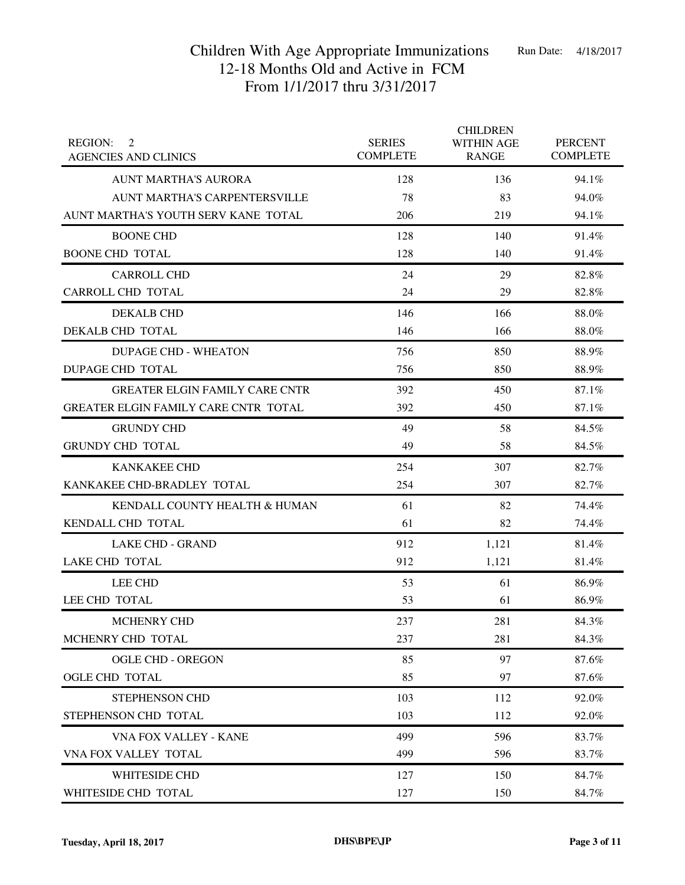| <b>REGION:</b><br>2<br><b>AGENCIES AND CLINICS</b> | <b>SERIES</b><br><b>COMPLETE</b> | <b>CHILDREN</b><br><b>WITHIN AGE</b><br><b>RANGE</b> | <b>PERCENT</b><br><b>COMPLETE</b> |
|----------------------------------------------------|----------------------------------|------------------------------------------------------|-----------------------------------|
| <b>AUNT MARTHA'S AURORA</b>                        | 128                              | 136                                                  | 94.1%                             |
| AUNT MARTHA'S CARPENTERSVILLE                      | 78                               | 83                                                   | 94.0%                             |
| AUNT MARTHA'S YOUTH SERV KANE TOTAL                | 206                              | 219                                                  | 94.1%                             |
| <b>BOONE CHD</b>                                   | 128                              | 140                                                  | 91.4%                             |
| <b>BOONE CHD TOTAL</b>                             | 128                              | 140                                                  | 91.4%                             |
| <b>CARROLL CHD</b>                                 | 24                               | 29                                                   | 82.8%                             |
| CARROLL CHD TOTAL                                  | 24                               | 29                                                   | 82.8%                             |
| <b>DEKALB CHD</b>                                  | 146                              | 166                                                  | 88.0%                             |
| DEKALB CHD TOTAL                                   | 146                              | 166                                                  | 88.0%                             |
| <b>DUPAGE CHD - WHEATON</b>                        | 756                              | 850                                                  | 88.9%                             |
| DUPAGE CHD TOTAL                                   | 756                              | 850                                                  | 88.9%                             |
| <b>GREATER ELGIN FAMILY CARE CNTR</b>              | 392                              | 450                                                  | 87.1%                             |
| GREATER ELGIN FAMILY CARE CNTR TOTAL               | 392                              | 450                                                  | 87.1%                             |
| <b>GRUNDY CHD</b>                                  | 49                               | 58                                                   | 84.5%                             |
| <b>GRUNDY CHD TOTAL</b>                            | 49                               | 58                                                   | 84.5%                             |
| <b>KANKAKEE CHD</b>                                | 254                              | 307                                                  | 82.7%                             |
| KANKAKEE CHD-BRADLEY TOTAL                         | 254                              | 307                                                  | 82.7%                             |
| KENDALL COUNTY HEALTH & HUMAN                      | 61                               | 82                                                   | 74.4%                             |
| KENDALL CHD TOTAL                                  | 61                               | 82                                                   | 74.4%                             |
| <b>LAKE CHD - GRAND</b>                            | 912                              | 1,121                                                | 81.4%                             |
| <b>LAKE CHD TOTAL</b>                              | 912                              | 1,121                                                | 81.4%                             |
| <b>LEE CHD</b>                                     | 53                               | 61                                                   | 86.9%                             |
| LEE CHD TOTAL                                      | 53                               | 61                                                   | 86.9%                             |
| <b>MCHENRY CHD</b>                                 | 237                              | 281                                                  | 84.3%                             |
| MCHENRY CHD TOTAL                                  | 237                              | 281                                                  | 84.3%                             |
| <b>OGLE CHD - OREGON</b>                           | 85                               | 97                                                   | 87.6%                             |
| OGLE CHD TOTAL                                     | 85                               | 97                                                   | 87.6%                             |
| STEPHENSON CHD                                     | 103                              | 112                                                  | 92.0%                             |
| STEPHENSON CHD TOTAL                               | 103                              | 112                                                  | 92.0%                             |
| VNA FOX VALLEY - KANE                              | 499                              | 596                                                  | 83.7%                             |
| VNA FOX VALLEY TOTAL                               | 499                              | 596                                                  | 83.7%                             |
| WHITESIDE CHD                                      | 127                              | 150                                                  | 84.7%                             |
| WHITESIDE CHD TOTAL                                | 127                              | 150                                                  | 84.7%                             |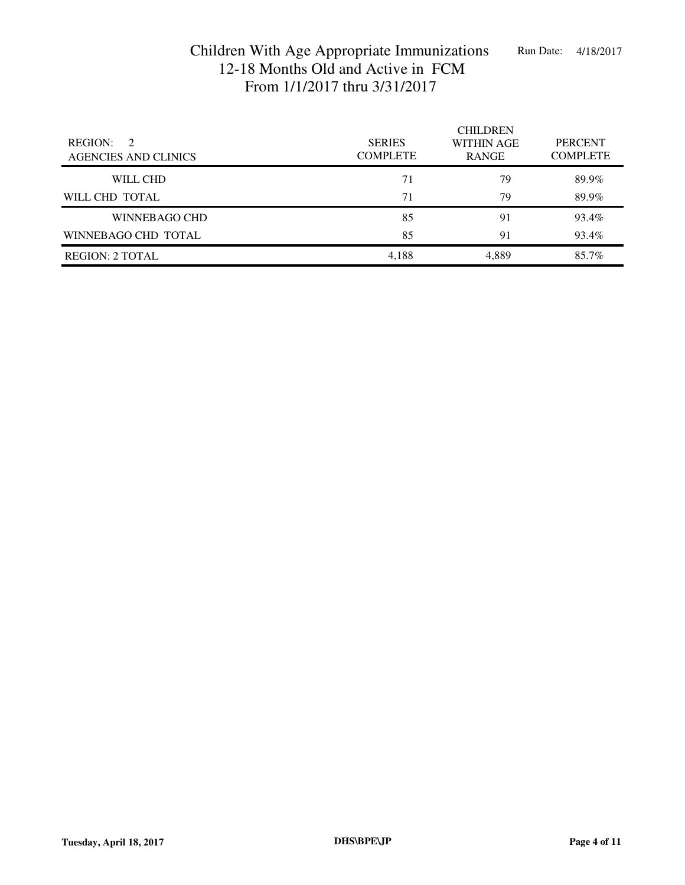| <b>REGION:</b><br>$\mathcal{D}$<br><b>AGENCIES AND CLINICS</b> | <b>SERIES</b><br><b>COMPLETE</b> | <b>CHILDREN</b><br><b>WITHIN AGE</b><br><b>RANGE</b> | <b>PERCENT</b><br><b>COMPLETE</b> |
|----------------------------------------------------------------|----------------------------------|------------------------------------------------------|-----------------------------------|
| WILL CHD                                                       | 71                               | 79                                                   | 89.9%                             |
| WILL CHD TOTAL                                                 | 71                               | 79                                                   | 89.9%                             |
| WINNEBAGO CHD                                                  | 85                               | 91                                                   | 93.4%                             |
| WINNEBAGO CHD TOTAL                                            | 85                               | 91                                                   | 93.4%                             |
| <b>REGION: 2 TOTAL</b>                                         | 4,188                            | 4,889                                                | 85.7%                             |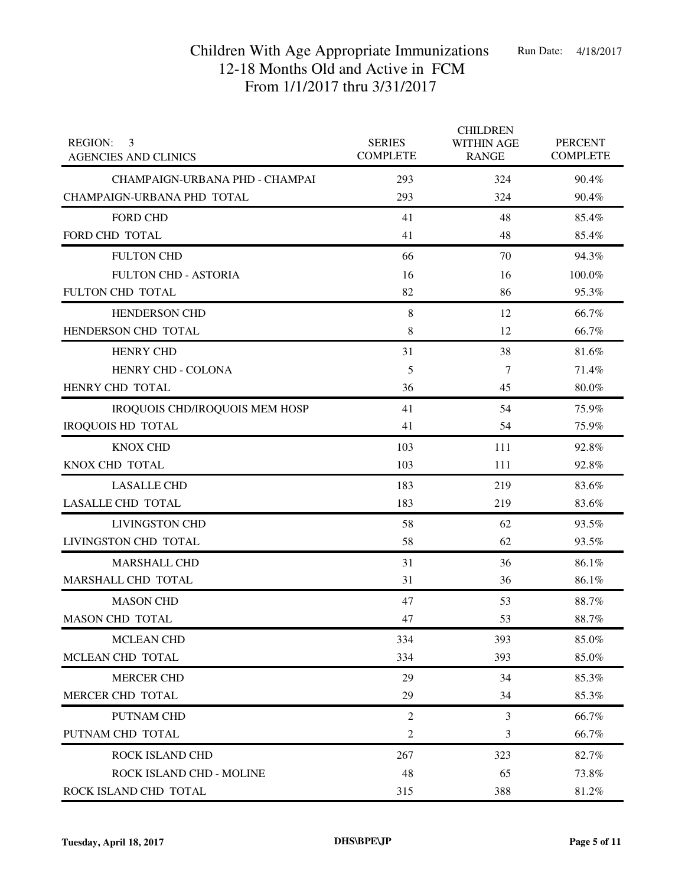| <b>REGION:</b><br>3<br><b>AGENCIES AND CLINICS</b> | <b>SERIES</b><br><b>COMPLETE</b> | <b>CHILDREN</b><br><b>WITHIN AGE</b><br><b>RANGE</b> | <b>PERCENT</b><br><b>COMPLETE</b> |
|----------------------------------------------------|----------------------------------|------------------------------------------------------|-----------------------------------|
| CHAMPAIGN-URBANA PHD - CHAMPAI                     | 293                              | 324                                                  | 90.4%                             |
| CHAMPAIGN-URBANA PHD TOTAL                         | 293                              | 324                                                  | 90.4%                             |
| <b>FORD CHD</b>                                    | 41                               | 48                                                   | 85.4%                             |
| FORD CHD TOTAL                                     | 41                               | 48                                                   | 85.4%                             |
| <b>FULTON CHD</b>                                  | 66                               | 70                                                   | 94.3%                             |
| <b>FULTON CHD - ASTORIA</b>                        | 16                               | 16                                                   | 100.0%                            |
| FULTON CHD TOTAL                                   | 82                               | 86                                                   | 95.3%                             |
| <b>HENDERSON CHD</b>                               | 8                                | 12                                                   | 66.7%                             |
| HENDERSON CHD TOTAL                                | 8                                | 12                                                   | 66.7%                             |
| <b>HENRY CHD</b>                                   | 31                               | 38                                                   | 81.6%                             |
| HENRY CHD - COLONA                                 | 5                                | 7                                                    | 71.4%                             |
| HENRY CHD TOTAL                                    | 36                               | 45                                                   | 80.0%                             |
| IROQUOIS CHD/IROQUOIS MEM HOSP                     | 41                               | 54                                                   | 75.9%                             |
| <b>IROQUOIS HD TOTAL</b>                           | 41                               | 54                                                   | 75.9%                             |
| <b>KNOX CHD</b>                                    | 103                              | 111                                                  | 92.8%                             |
| KNOX CHD TOTAL                                     | 103                              | 111                                                  | 92.8%                             |
| <b>LASALLE CHD</b>                                 | 183                              | 219                                                  | 83.6%                             |
| <b>LASALLE CHD TOTAL</b>                           | 183                              | 219                                                  | 83.6%                             |
| <b>LIVINGSTON CHD</b>                              | 58                               | 62                                                   | 93.5%                             |
| LIVINGSTON CHD TOTAL                               | 58                               | 62                                                   | 93.5%                             |
| <b>MARSHALL CHD</b>                                | 31                               | 36                                                   | 86.1%                             |
| MARSHALL CHD TOTAL                                 | 31                               | 36                                                   | 86.1%                             |
| <b>MASON CHD</b>                                   | 47                               | 53                                                   | 88.7%                             |
| <b>MASON CHD TOTAL</b>                             | 47                               | 53                                                   | 88.7%                             |
| <b>MCLEAN CHD</b>                                  | 334                              | 393                                                  | 85.0%                             |
| MCLEAN CHD TOTAL                                   | 334                              | 393                                                  | 85.0%                             |
| <b>MERCER CHD</b>                                  | 29                               | 34                                                   | 85.3%                             |
| MERCER CHD TOTAL                                   | 29                               | 34                                                   | 85.3%                             |
| PUTNAM CHD                                         | $\overline{2}$                   | $\mathfrak{Z}$                                       | 66.7%                             |
| PUTNAM CHD TOTAL                                   | 2                                | 3                                                    | 66.7%                             |
| ROCK ISLAND CHD                                    | 267                              | 323                                                  | 82.7%                             |
| ROCK ISLAND CHD - MOLINE                           | 48                               | 65                                                   | 73.8%                             |
| ROCK ISLAND CHD TOTAL                              | 315                              | 388                                                  | 81.2%                             |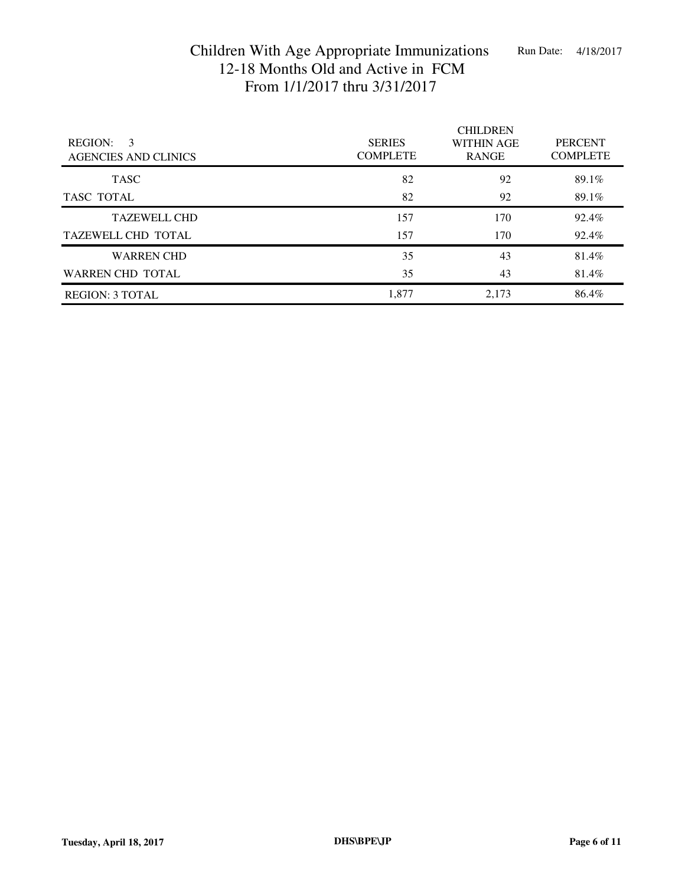| <b>REGION:</b><br>3<br><b>AGENCIES AND CLINICS</b> | <b>SERIES</b><br><b>COMPLETE</b> | <b>CHILDREN</b><br><b>WITHIN AGE</b><br><b>RANGE</b> | <b>PERCENT</b><br><b>COMPLETE</b> |
|----------------------------------------------------|----------------------------------|------------------------------------------------------|-----------------------------------|
| <b>TASC</b>                                        | 82                               | 92                                                   | 89.1%                             |
| TASC TOTAL                                         | 82                               | 92                                                   | 89.1%                             |
| <b>TAZEWELL CHD</b>                                | 157                              | 170                                                  | 92.4%                             |
| <b>TAZEWELL CHD TOTAL</b>                          | 157                              | 170                                                  | 92.4%                             |
| <b>WARREN CHD</b>                                  | 35                               | 43                                                   | 81.4%                             |
| <b>WARREN CHD TOTAL</b>                            | 35                               | 43                                                   | 81.4%                             |
| <b>REGION: 3 TOTAL</b>                             | 1,877                            | 2,173                                                | 86.4%                             |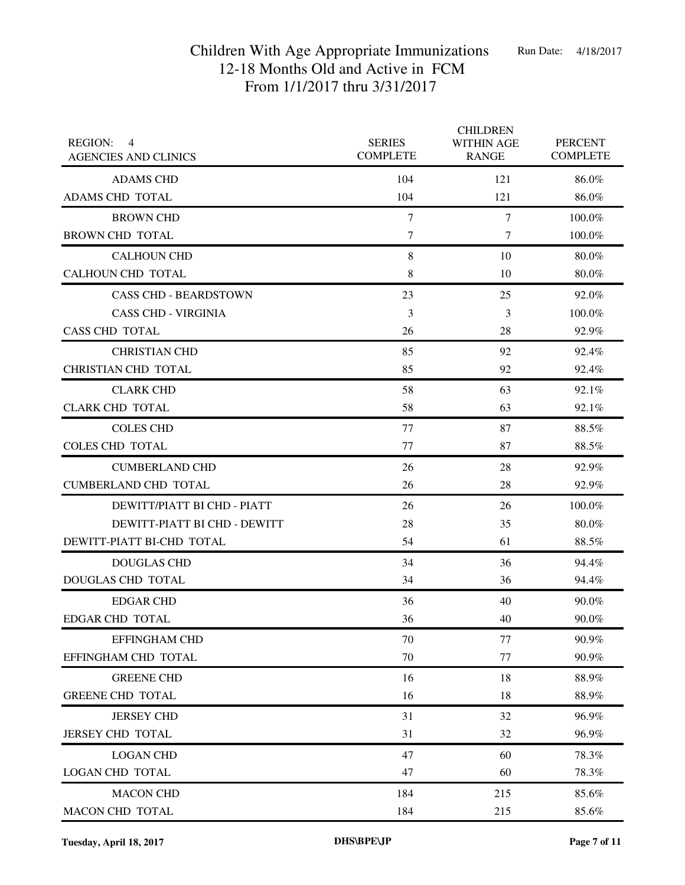| <b>REGION:</b><br>$\overline{4}$<br><b>AGENCIES AND CLINICS</b> | <b>SERIES</b><br><b>COMPLETE</b> | <b>CHILDREN</b><br><b>WITHIN AGE</b><br><b>RANGE</b> | <b>PERCENT</b><br><b>COMPLETE</b> |
|-----------------------------------------------------------------|----------------------------------|------------------------------------------------------|-----------------------------------|
| <b>ADAMS CHD</b>                                                | 104                              | 121                                                  | 86.0%                             |
| ADAMS CHD TOTAL                                                 | 104                              | 121                                                  | 86.0%                             |
| <b>BROWN CHD</b>                                                | $\tau$                           | $\tau$                                               | 100.0%                            |
| <b>BROWN CHD TOTAL</b>                                          | $\tau$                           | 7                                                    | 100.0%                            |
| <b>CALHOUN CHD</b>                                              | $\,8\,$                          | 10                                                   | 80.0%                             |
| CALHOUN CHD TOTAL                                               | 8                                | 10                                                   | $80.0\%$                          |
| <b>CASS CHD - BEARDSTOWN</b>                                    | 23                               | 25                                                   | 92.0%                             |
| <b>CASS CHD - VIRGINIA</b>                                      | 3                                | 3                                                    | 100.0%                            |
| <b>CASS CHD TOTAL</b>                                           | 26                               | 28                                                   | 92.9%                             |
| <b>CHRISTIAN CHD</b>                                            | 85                               | 92                                                   | 92.4%                             |
| CHRISTIAN CHD TOTAL                                             | 85                               | 92                                                   | 92.4%                             |
| <b>CLARK CHD</b>                                                | 58                               | 63                                                   | 92.1%                             |
| <b>CLARK CHD TOTAL</b>                                          | 58                               | 63                                                   | 92.1%                             |
| <b>COLES CHD</b>                                                | 77                               | 87                                                   | 88.5%                             |
| <b>COLES CHD TOTAL</b>                                          | 77                               | 87                                                   | 88.5%                             |
| <b>CUMBERLAND CHD</b>                                           | 26                               | 28                                                   | 92.9%                             |
| <b>CUMBERLAND CHD TOTAL</b>                                     | 26                               | 28                                                   | 92.9%                             |
| DEWITT/PIATT BI CHD - PIATT                                     | 26                               | 26                                                   | 100.0%                            |
| DEWITT-PIATT BI CHD - DEWITT                                    | 28                               | 35                                                   | 80.0%                             |
| DEWITT-PIATT BI-CHD TOTAL                                       | 54                               | 61                                                   | 88.5%                             |
| <b>DOUGLAS CHD</b>                                              | 34                               | 36                                                   | 94.4%                             |
| <b>DOUGLAS CHD TOTAL</b>                                        | 34                               | 36                                                   | 94.4%                             |
| <b>EDGAR CHD</b>                                                | 36                               | 40                                                   | 90.0%                             |
| EDGAR CHD TOTAL                                                 | 36                               | 40                                                   | 90.0%                             |
| <b>EFFINGHAM CHD</b>                                            | 70                               | 77                                                   | 90.9%                             |
| EFFINGHAM CHD TOTAL                                             | 70                               | 77                                                   | 90.9%                             |
| <b>GREENE CHD</b>                                               | 16                               | 18                                                   | 88.9%                             |
| <b>GREENE CHD TOTAL</b>                                         | 16                               | 18                                                   | 88.9%                             |
| <b>JERSEY CHD</b>                                               | 31                               | 32                                                   | 96.9%                             |
| <b>JERSEY CHD TOTAL</b>                                         | 31                               | 32                                                   | 96.9%                             |
| <b>LOGAN CHD</b>                                                | 47                               | 60                                                   | 78.3%                             |
| <b>LOGAN CHD TOTAL</b>                                          | 47                               | 60                                                   | 78.3%                             |
| <b>MACON CHD</b>                                                | 184                              | 215                                                  | 85.6%                             |
| MACON CHD TOTAL                                                 | 184                              | 215                                                  | 85.6%                             |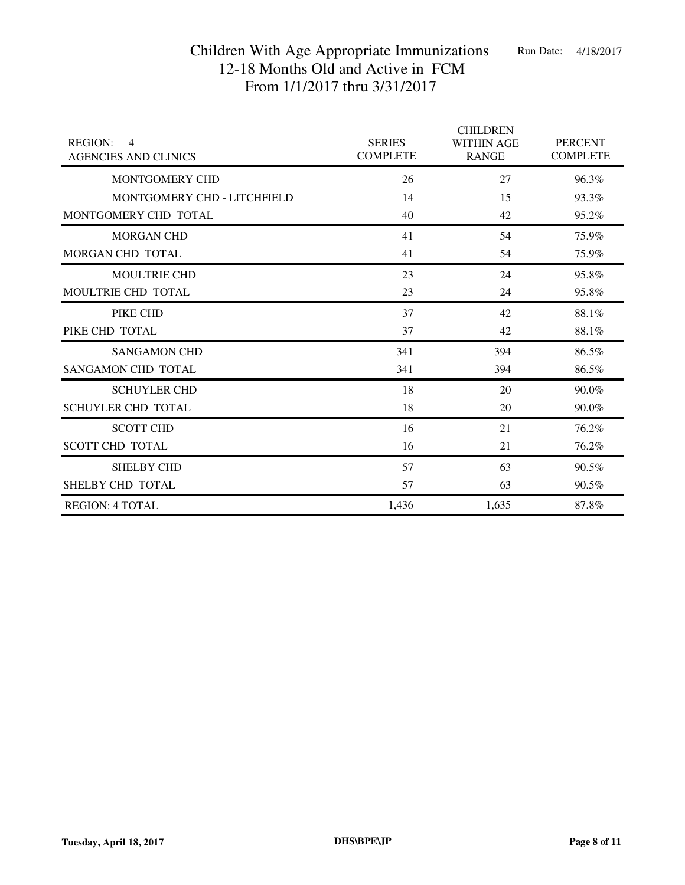| <b>REGION:</b><br>$\overline{4}$<br><b>AGENCIES AND CLINICS</b> | <b>SERIES</b><br><b>COMPLETE</b> | <b>CHILDREN</b><br><b>WITHIN AGE</b><br><b>RANGE</b> | <b>PERCENT</b><br><b>COMPLETE</b> |
|-----------------------------------------------------------------|----------------------------------|------------------------------------------------------|-----------------------------------|
| MONTGOMERY CHD                                                  | 26                               | 27                                                   | 96.3%                             |
| MONTGOMERY CHD - LITCHFIELD                                     | 14                               | 15                                                   | 93.3%                             |
| MONTGOMERY CHD TOTAL                                            | 40                               | 42                                                   | 95.2%                             |
| <b>MORGAN CHD</b>                                               | 41                               | 54                                                   | 75.9%                             |
| MORGAN CHD TOTAL                                                | 41                               | 54                                                   | 75.9%                             |
| <b>MOULTRIE CHD</b>                                             | 23                               | 24                                                   | 95.8%                             |
| MOULTRIE CHD TOTAL                                              | 23                               | 24                                                   | 95.8%                             |
| PIKE CHD                                                        | 37                               | 42                                                   | 88.1%                             |
| PIKE CHD TOTAL                                                  | 37                               | 42                                                   | 88.1%                             |
| <b>SANGAMON CHD</b>                                             | 341                              | 394                                                  | 86.5%                             |
| <b>SANGAMON CHD TOTAL</b>                                       | 341                              | 394                                                  | 86.5%                             |
| <b>SCHUYLER CHD</b>                                             | 18                               | 20                                                   | 90.0%                             |
| <b>SCHUYLER CHD TOTAL</b>                                       | 18                               | 20                                                   | 90.0%                             |
| <b>SCOTT CHD</b>                                                | 16                               | 21                                                   | 76.2%                             |
| <b>SCOTT CHD TOTAL</b>                                          | 16                               | 21                                                   | 76.2%                             |
| <b>SHELBY CHD</b>                                               | 57                               | 63                                                   | 90.5%                             |
| SHELBY CHD TOTAL                                                | 57                               | 63                                                   | 90.5%                             |
| <b>REGION: 4 TOTAL</b>                                          | 1,436                            | 1,635                                                | 87.8%                             |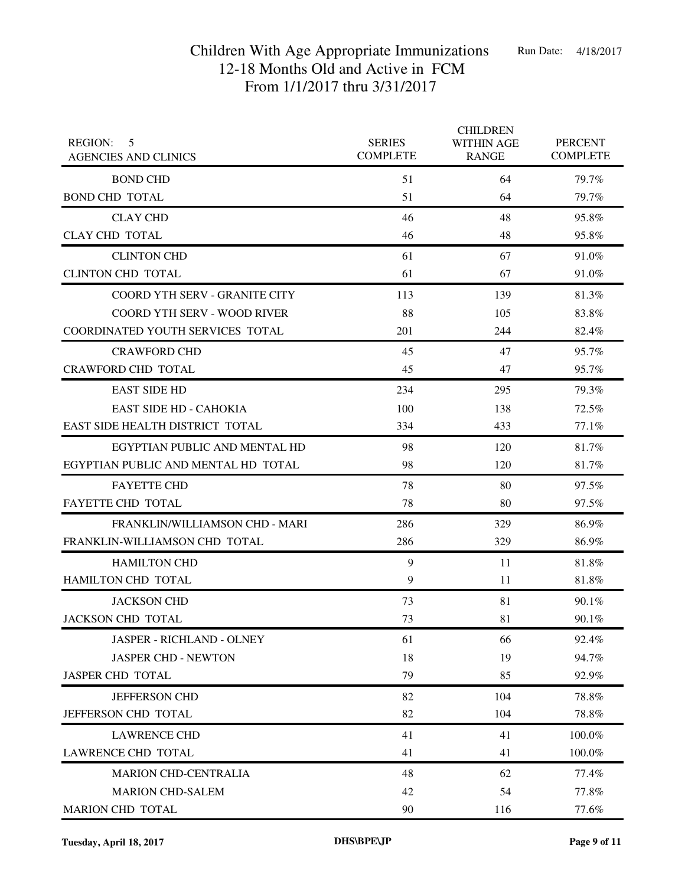| <b>REGION:</b><br>5<br><b>AGENCIES AND CLINICS</b> | <b>SERIES</b><br><b>COMPLETE</b> | <b>CHILDREN</b><br><b>WITHIN AGE</b><br><b>RANGE</b> | <b>PERCENT</b><br><b>COMPLETE</b> |
|----------------------------------------------------|----------------------------------|------------------------------------------------------|-----------------------------------|
| <b>BOND CHD</b>                                    | 51                               | 64                                                   | 79.7%                             |
| <b>BOND CHD TOTAL</b>                              | 51                               | 64                                                   | 79.7%                             |
| <b>CLAY CHD</b>                                    | 46                               | 48                                                   | 95.8%                             |
| <b>CLAY CHD TOTAL</b>                              | 46                               | 48                                                   | 95.8%                             |
| <b>CLINTON CHD</b>                                 | 61                               | 67                                                   | 91.0%                             |
| <b>CLINTON CHD TOTAL</b>                           | 61                               | 67                                                   | 91.0%                             |
| <b>COORD YTH SERV - GRANITE CITY</b>               | 113                              | 139                                                  | 81.3%                             |
| <b>COORD YTH SERV - WOOD RIVER</b>                 | 88                               | 105                                                  | 83.8%                             |
| COORDINATED YOUTH SERVICES TOTAL                   | 201                              | 244                                                  | 82.4%                             |
| <b>CRAWFORD CHD</b>                                | 45                               | 47                                                   | 95.7%                             |
| <b>CRAWFORD CHD TOTAL</b>                          | 45                               | 47                                                   | 95.7%                             |
| <b>EAST SIDE HD</b>                                | 234                              | 295                                                  | 79.3%                             |
| <b>EAST SIDE HD - CAHOKIA</b>                      | 100                              | 138                                                  | 72.5%                             |
| EAST SIDE HEALTH DISTRICT TOTAL                    | 334                              | 433                                                  | 77.1%                             |
| EGYPTIAN PUBLIC AND MENTAL HD                      | 98                               | 120                                                  | 81.7%                             |
| EGYPTIAN PUBLIC AND MENTAL HD TOTAL                | 98                               | 120                                                  | 81.7%                             |
| <b>FAYETTE CHD</b>                                 | 78                               | 80                                                   | 97.5%                             |
| <b>FAYETTE CHD TOTAL</b>                           | 78                               | 80                                                   | 97.5%                             |
| <b>FRANKLIN/WILLIAMSON CHD - MARI</b>              | 286                              | 329                                                  | 86.9%                             |
| FRANKLIN-WILLIAMSON CHD TOTAL                      | 286                              | 329                                                  | 86.9%                             |
| <b>HAMILTON CHD</b>                                | 9                                | 11                                                   | 81.8%                             |
| HAMILTON CHD TOTAL                                 | 9                                | 11                                                   | 81.8%                             |
| <b>JACKSON CHD</b>                                 | 73                               | 81                                                   | 90.1%                             |
| JACKSON CHD TOTAL                                  | 73                               | 81                                                   | 90.1%                             |
| <b>JASPER - RICHLAND - OLNEY</b>                   | 61                               | 66                                                   | 92.4%                             |
| <b>JASPER CHD - NEWTON</b>                         | 18                               | 19                                                   | 94.7%                             |
| JASPER CHD TOTAL                                   | 79                               | 85                                                   | 92.9%                             |
| <b>JEFFERSON CHD</b>                               | 82                               | 104                                                  | 78.8%                             |
| JEFFERSON CHD TOTAL                                | 82                               | 104                                                  | 78.8%                             |
| <b>LAWRENCE CHD</b>                                | 41                               | 41                                                   | 100.0%                            |
| LAWRENCE CHD TOTAL                                 | 41                               | 41                                                   | 100.0%                            |
| <b>MARION CHD-CENTRALIA</b>                        | 48                               | 62                                                   | 77.4%                             |
| <b>MARION CHD-SALEM</b>                            | 42                               | 54                                                   | 77.8%                             |
| MARION CHD TOTAL                                   | 90                               | 116                                                  | 77.6%                             |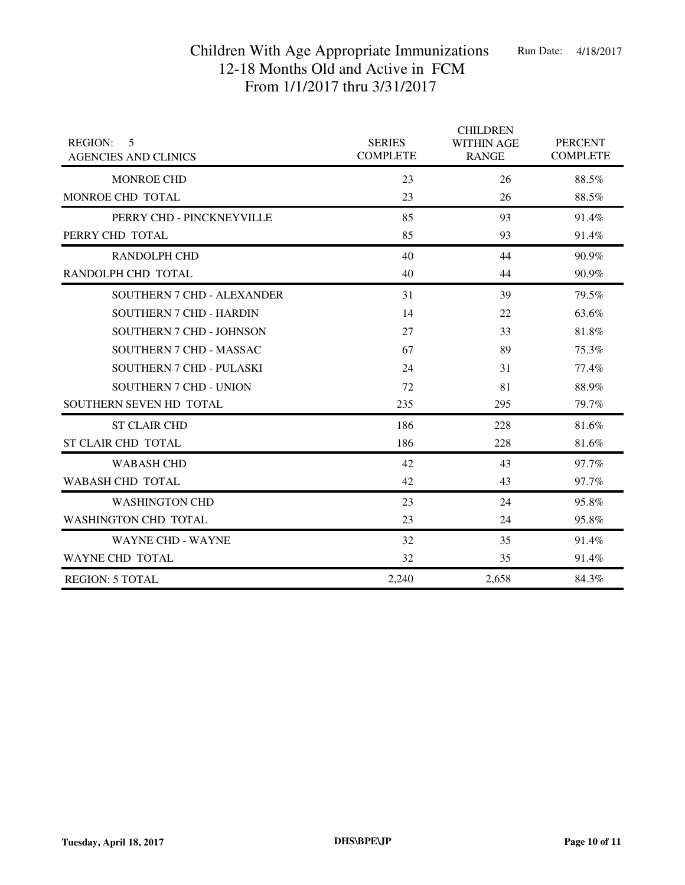|                                                    |                                  | <b>CHILDREN</b>                   |                                   |
|----------------------------------------------------|----------------------------------|-----------------------------------|-----------------------------------|
| <b>REGION:</b><br>5<br><b>AGENCIES AND CLINICS</b> | <b>SERIES</b><br><b>COMPLETE</b> | <b>WITHIN AGE</b><br><b>RANGE</b> | <b>PERCENT</b><br><b>COMPLETE</b> |
| <b>MONROE CHD</b>                                  | 23                               | 26                                | 88.5%                             |
| MONROE CHD TOTAL                                   | 23                               | 26                                | 88.5%                             |
| PERRY CHD - PINCKNEYVILLE                          | 85                               | 93                                | 91.4%                             |
| PERRY CHD TOTAL                                    | 85                               | 93                                | 91.4%                             |
| <b>RANDOLPH CHD</b>                                | 40                               | 44                                | 90.9%                             |
| RANDOLPH CHD TOTAL                                 | 40                               | 44                                | 90.9%                             |
| <b>SOUTHERN 7 CHD - ALEXANDER</b>                  | 31                               | 39                                | 79.5%                             |
| <b>SOUTHERN 7 CHD - HARDIN</b>                     | 14                               | 22                                | 63.6%                             |
| SOUTHERN 7 CHD - JOHNSON                           | 27                               | 33                                | 81.8%                             |
| SOUTHERN 7 CHD - MASSAC                            | 67                               | 89                                | 75.3%                             |
| <b>SOUTHERN 7 CHD - PULASKI</b>                    | 24                               | 31                                | 77.4%                             |
| <b>SOUTHERN 7 CHD - UNION</b>                      | 72                               | 81                                | 88.9%                             |
| SOUTHERN SEVEN HD TOTAL                            | 235                              | 295                               | 79.7%                             |
| <b>ST CLAIR CHD</b>                                | 186                              | 228                               | 81.6%                             |
| <b>ST CLAIR CHD TOTAL</b>                          | 186                              | 228                               | 81.6%                             |
| <b>WABASH CHD</b>                                  | 42                               | 43                                | 97.7%                             |
| <b>WABASH CHD TOTAL</b>                            | 42                               | 43                                | 97.7%                             |
| <b>WASHINGTON CHD</b>                              | 23                               | 24                                | 95.8%                             |
| <b>WASHINGTON CHD TOTAL</b>                        | 23                               | 24                                | 95.8%                             |
| <b>WAYNE CHD - WAYNE</b>                           | 32                               | 35                                | 91.4%                             |
| <b>WAYNE CHD TOTAL</b>                             | 32                               | 35                                | 91.4%                             |
| <b>REGION: 5 TOTAL</b>                             | 2,240                            | 2,658                             | 84.3%                             |